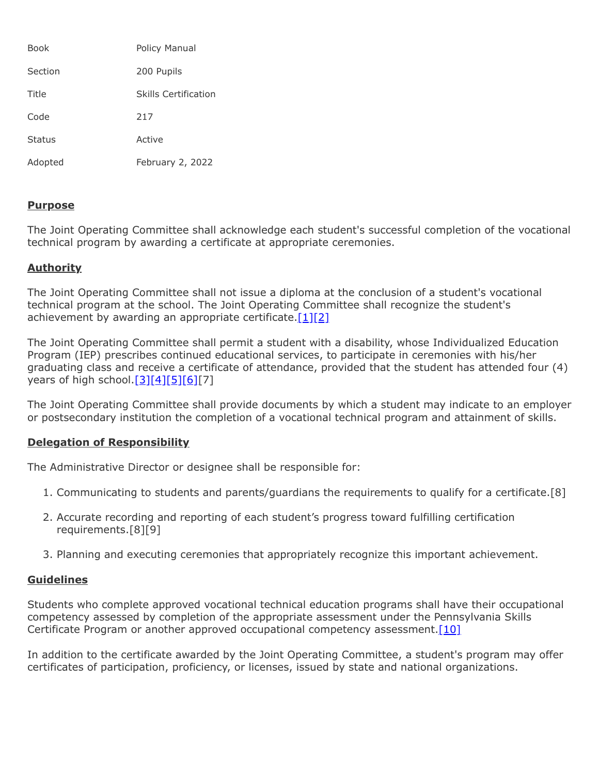| Book          | Policy Manual        |
|---------------|----------------------|
| Section       | 200 Pupils           |
| Title         | Skills Certification |
| Code          | 217                  |
| <b>Status</b> | Active               |
| Adopted       | February 2, 2022     |

## **Purpose**

The Joint Operating Committee shall acknowledge each student's successful completion of the vocational technical program by awarding a certificate at appropriate ceremonies.

## **Authority**

The Joint Operating Committee shall not issue a diploma at the conclusion of a student's vocational technical program at the school. The Joint Operating Committee shall recognize the student's achievement by awarding an appropriate certificate. $[1][2]$  $[1][2]$ 

The Joint Operating Committee shall permit a student with a disability, whose Individualized Education Program (IEP) prescribes continued educational services, to participate in ceremonies with his/her graduating class and receive a certificate of attendance, provided that the student has attended four (4) vears of high school. $[3][4][5][6][7]$  $[3][4][5][6][7]$  $[3][4][5][6][7]$  $[3][4][5][6][7]$  $[3][4][5][6][7]$ 

The Joint Operating Committee shall provide documents by which a student may indicate to an employer or postsecondary institution the completion of a vocational technical program and attainment of skills.

## **Delegation of Responsibility**

The Administrative Director or designee shall be responsible for:

- 1. Communicating to students and parents/guardians the requirements to qualify for a certificate.[8]
- 2. Accurate recording and reporting of each student's progress toward fulfilling certification requirements.[8][9]
- 3. Planning and executing ceremonies that appropriately recognize this important achievement.

## **Guidelines**

Students who complete approved vocational technical education programs shall have their occupational competency assessed by completion of the appropriate assessment under the Pennsylvania Skills Certificate Program or another approved occupational competency assessment. [10]

In addition to the certificate awarded by the Joint Operating Committee, a student's program may offer certificates of participation, proficiency, or licenses, issued by state and national organizations.